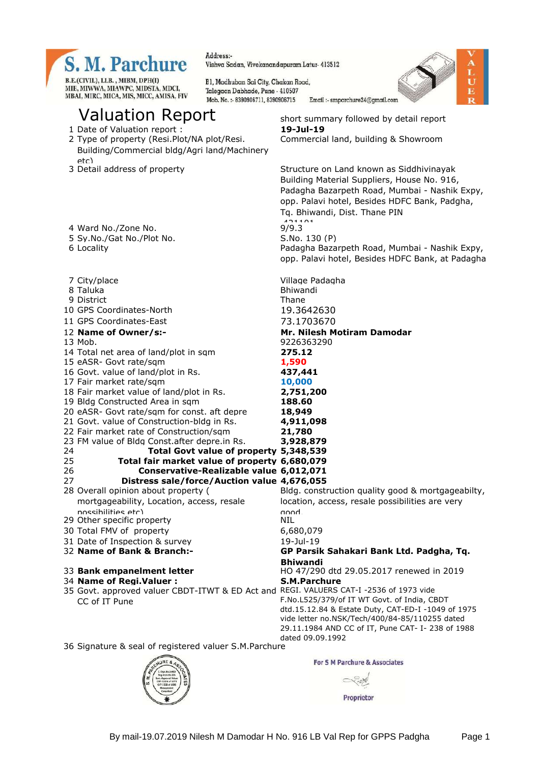

Address:-Vishya Sadan, Vivekanandapuram Latur- 413512

Bl, Madhuban Sai City, Chakan Road, Talegaon Dabhade, Pune - 410507 Mob. No.: - 8390906711, 8390906715



# Valuation Report short summary followed by detail report

1 Date of Valuation report : **19-Jul-19**

MBAI, MIRC, MICA, MIS, MICC, AMISA, FIV

- 2 Type of property (Resi.Plot/NA plot/Resi. Building/Commercial bldg/Agri land/Machinery
- etc)<br>3 Detail address of property

possibilities etc)

CC of IT Pune

29 Other specific property

Structure on Land known as Siddhivinayak Building Material Suppliers, House No. 916, Padagha Bazarpeth Road, Mumbai - Nashik Expy, opp. Palavi hotel, Besides HDFC Bank, Padgha, Tq. Bhiwandi, Dist. Thane PIN 4 Ward No./Zone No. 2011 5 Sy.No./Gat No./Plot No. S.No. 130 (P) 6 Locality Padagha Bazarpeth Road, Mumbai - Nashik Expy, opp. Palavi hotel, Besides HDFC Bank, at Padagha 7 City/place Village Padagha 8 Taluka **Bhiwandi** 9 District Thane 10 GPS Coordinates-North 19.3642630 11 GPS Coordinates-East 73.1703670 12 **Name of Owner/s:- Mr. Nilesh Motiram Damodar** 13 Mob. 9226363290 14 Total net area of land/plot in sqm **275.12** 15 eASR- Govt rate/sqm **1,590** 16 Govt. value of land/plot in Rs. **437,441** 17 Fair market rate/sqm **10,000** 18 Fair market value of land/plot in Rs. **2,751,200** 19 Bldg Constructed Area in sqm **188.60** 20 eASR- Govt rate/sqm for const. aft depre **18,949** 21 Govt. value of Construction-bldg in Rs. **4,911,098** 22 Fair market rate of Construction/sqm **21,780** 23 FM value of Bldg Const.after depre.in Rs. **3,928,879** 24 **Total Govt value of property 5,348,539** 25 **Total fair market value of property 6,680,079** 26 **Conservative-Realizable value 6,012,071** 27 **Distress sale/force/Auction value 4,676,055** 28 Overall opinion about property ( mortgageability, Location, access, resale Bldg. construction quality good & mortgageabilty, location, access, resale possibilities are very avu<br>MIL 30 Total FMV of property 6,680,079 31 Date of Inspection & survey 19-Jul-19 32 **Name of Bank & Branch:- GP Parsik Sahakari Bank Ltd. Padgha, Tq. Bhiwandi** 33 **Bank empanelment letter** HO 47/290 dtd 29.05.2017 renewed in 2019 34 **Name of Regi.Valuer : S.M.Parchure** 35 Govt. approved valuer CBDT-ITWT & ED Act and REGI. VALUERS CAT-I -2536 of 1973 vide F.No.L525/379/of IT WT Govt. of India, CBDT dtd.15.12.84 & Estate Duty, CAT-ED-I -1049 of 1975 vide letter no.NSK/Tech/400/84-85/110255 dated 29.11.1984 AND CC of IT, Pune CAT- I- 238 of 1988 dated 09.09.1992

Commercial land, building & Showroom

36 Signature & seal of registered valuer S.M.Parchure



Proprietor

For S M Parchure & Associates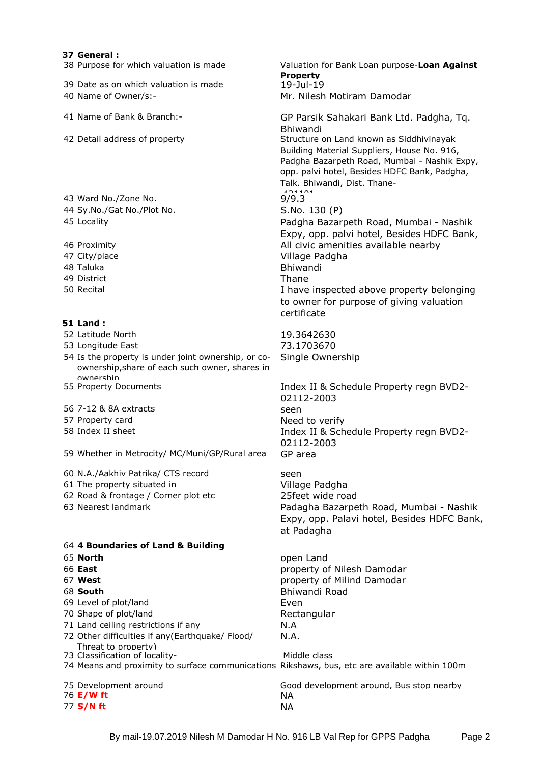### **37 General :**

38 Purpose for which valuation is made Valuation for Bank Loan purpose-**Loan Against** 

39 Date as on which valuation is made 40 Name of Owner/s:- Mr. Nilesh Motiram Damodar

41 Name of Bank & Branch:- GP Parsik Sahakari Bank Ltd. Padgha, Tq.

42 Detail address of property Structure on Land known as Siddhivinayak

43 Ward No./Zone No. 9/9.3 44 Sy.No./Gat No./Plot No. S.No. 130 (P)

48 Taluka **Bhiwandi** 49 District Thane

### **51 Land :**

52 Latitude North 19.3642630

53 Longitude East 73.1703670

54 Is the property is under joint ownership, or coownership,share of each such owner, shares in ownershin<br>55 Property Documents

56 7-12 & 8A extracts seen

57 Property card Need to verify

59 Whether in Metrocity/ MC/Muni/GP/Rural area GP area

60 N.A./Aakhiv Patrika/ CTS record seen 61 The property situated in Village Padgha 62 Road & frontage / Corner plot etc 25feet wide road

### 64 **4 Boundaries of Land & Building**

69 Level of plot/land Even

- 70 Shape of plot/land Rectangular
- 71 Land ceiling restrictions if any M.A
- 72 Other difficulties if any(Earthquake/ Flood/ Threat to property)
- 73 Classification of locality-<br>
Middle class

74 Means and proximity to surface communications Rikshaws, bus, etc are available within 100m

76 **E/W ft** NA 77 **S/N ft** NA

Talk. Bhiwandi, Dist. Thane- 45 Locality Padgha Bazarpeth Road, Mumbai - Nashik

Building Material Suppliers, House No. 916, Padgha Bazarpeth Road, Mumbai - Nashik Expy, opp. palvi hotel, Besides HDFC Bank, Padgha,

Expy, opp. palvi hotel, Besides HDFC Bank, 46 Proximity All civic amenities available nearby 47 City/place Village Padgha 50 Recital I have inspected above property belonging to owner for purpose of giving valuation certificate

Single Ownership

**Property**

Bhiwandi

Index II & Schedule Property regn BVD2-02112-2003 58 Index II sheet Index II & Schedule Property regn BVD2- 02112-2003

63 Nearest landmark Padagha Bazarpeth Road, Mumbai - Nashik Expy, opp. Palavi hotel, Besides HDFC Bank, at Padagha

 **North** open Land **East** property of Nilesh Damodar **West** property of Milind Damodar **South** Bhiwandi Road N.A.

75 Development around Good development around, Bus stop nearby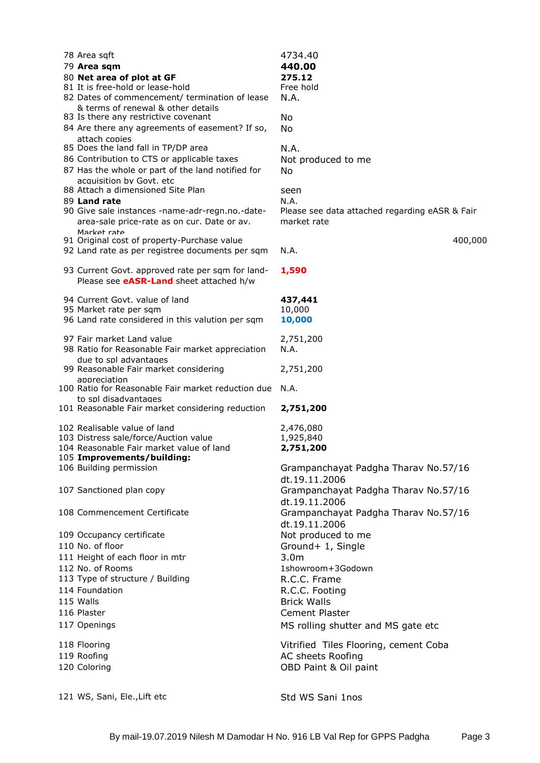| 78 Area sqft                                         | 4734.40                                        |
|------------------------------------------------------|------------------------------------------------|
| 79 Area sqm                                          | 440.00                                         |
| 80 Net area of plot at GF                            | 275.12                                         |
| 81 It is free-hold or lease-hold                     | Free hold                                      |
| 82 Dates of commencement/ termination of lease       | N.A.                                           |
| & terms of renewal & other details                   |                                                |
| 83 Is there any restrictive covenant                 | No                                             |
| 84 Are there any agreements of easement? If so,      | No                                             |
|                                                      |                                                |
| attach copies<br>85 Does the land fall in TP/DP area |                                                |
|                                                      | N.A.                                           |
| 86 Contribution to CTS or applicable taxes           | Not produced to me                             |
| 87 Has the whole or part of the land notified for    | No                                             |
| acquisition by Goyt, etc                             |                                                |
| 88 Attach a dimensioned Site Plan                    | seen                                           |
| 89 Land rate                                         | N.A.                                           |
| 90 Give sale instances -name-adr-regn.no.-date-      | Please see data attached regarding eASR & Fair |
| area-sale price-rate as on cur. Date or av.          | market rate                                    |
| Market rate                                          |                                                |
| 91 Original cost of property-Purchase value          | 400,000                                        |
| 92 Land rate as per registree documents per sqm      | N.A.                                           |
|                                                      |                                                |
| 93 Current Govt. approved rate per sqm for land-     | 1,590                                          |
| Please see <b>eASR-Land</b> sheet attached h/w       |                                                |
|                                                      |                                                |
| 94 Current Govt. value of land                       | 437,441                                        |
| 95 Market rate per sqm                               | 10,000                                         |
| 96 Land rate considered in this valution per sqm     | 10,000                                         |
|                                                      |                                                |
| 97 Fair market Land value                            | 2,751,200                                      |
| 98 Ratio for Reasonable Fair market appreciation     | N.A.                                           |
| due to spl advantages                                |                                                |
| 99 Reasonable Fair market considering                | 2,751,200                                      |
| appreciation                                         |                                                |
| 100 Ratio for Reasonable Fair market reduction due   | N.A.                                           |
| to spl disadvantages                                 |                                                |
| 101 Reasonable Fair market considering reduction     | 2,751,200                                      |
|                                                      |                                                |
| 102 Realisable value of land                         | 2,476,080                                      |
| 103 Distress sale/force/Auction value                | 1,925,840                                      |
| 104 Reasonable Fair market value of land             | 2,751,200                                      |
| 105 Improvements/building:                           |                                                |
| 106 Building permission                              | Grampanchayat Padgha Tharav No.57/16           |
|                                                      | dt.19.11.2006                                  |
| 107 Sanctioned plan copy                             | Grampanchayat Padgha Tharav No.57/16           |
|                                                      |                                                |
|                                                      | dt.19.11.2006                                  |
| 108 Commencement Certificate                         | Grampanchayat Padgha Tharav No.57/16           |
|                                                      | dt.19.11.2006                                  |
| 109 Occupancy certificate                            | Not produced to me                             |
| 110 No. of floor                                     | Ground+ 1, Single                              |
| 111 Height of each floor in mtr                      | 3.0 <sub>m</sub>                               |
| 112 No. of Rooms                                     | 1showroom+3Godown                              |
|                                                      |                                                |
| 113 Type of structure / Building                     | R.C.C. Frame                                   |
| 114 Foundation                                       | R.C.C. Footing                                 |
| 115 Walls                                            | <b>Brick Walls</b>                             |
| 116 Plaster                                          | Cement Plaster                                 |
| 117 Openings                                         | MS rolling shutter and MS gate etc             |
|                                                      |                                                |
| 118 Flooring                                         | Vitrified Tiles Flooring, cement Coba          |
|                                                      |                                                |
| 119 Roofing                                          | AC sheets Roofing                              |
| 120 Coloring                                         | OBD Paint & Oil paint                          |
|                                                      |                                                |
|                                                      |                                                |
| 121 WS, Sani, Ele., Lift etc                         | Std WS Sani 1nos                               |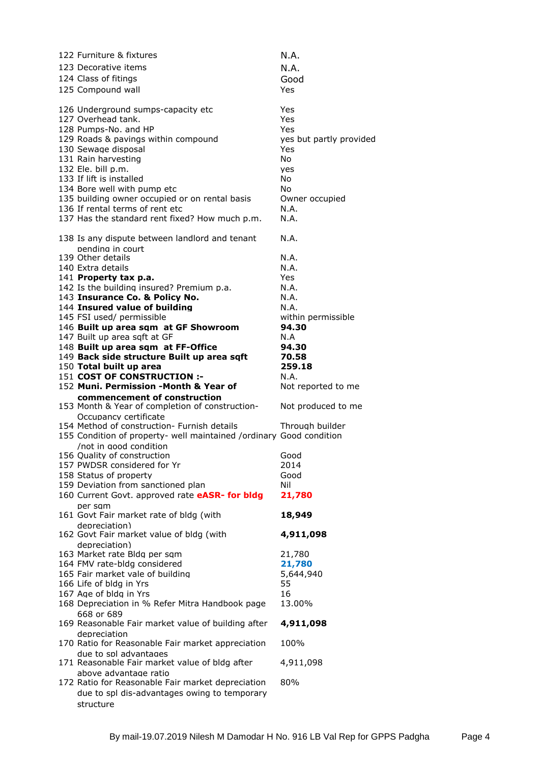| 122 Furniture & fixtures                                                                      | N.A.                    |
|-----------------------------------------------------------------------------------------------|-------------------------|
| 123 Decorative items                                                                          | N.A.                    |
| 124 Class of fitings                                                                          | Good                    |
| 125 Compound wall                                                                             | Yes                     |
|                                                                                               |                         |
| 126 Underground sumps-capacity etc                                                            | Yes                     |
| 127 Overhead tank.                                                                            | Yes                     |
| 128 Pumps-No. and HP                                                                          | Yes                     |
| 129 Roads & pavings within compound                                                           | yes but partly provided |
| 130 Sewage disposal                                                                           | Yes                     |
| 131 Rain harvesting                                                                           | No                      |
| 132 Ele. bill p.m.                                                                            | yes                     |
| 133 If lift is installed                                                                      | <b>No</b>               |
| 134 Bore well with pump etc<br>135 building owner occupied or on rental basis                 | No<br>Owner occupied    |
| 136 If rental terms of rent etc                                                               | N.A.                    |
| 137 Has the standard rent fixed? How much p.m.                                                | N.A.                    |
|                                                                                               |                         |
| 138 Is any dispute between landlord and tenant                                                | N.A.                    |
| pending in court                                                                              |                         |
| 139 Other details                                                                             | N.A.                    |
| 140 Extra details                                                                             | N.A.                    |
| 141 Property tax p.a.                                                                         | Yes                     |
| 142 Is the building insured? Premium p.a.                                                     | N.A.                    |
| 143 Insurance Co. & Policy No.                                                                | N.A.                    |
| 144 Insured value of building                                                                 | N.A.                    |
| 145 FSI used/ permissible                                                                     | within permissible      |
| 146 Built up area sqm at GF Showroom                                                          | 94.30                   |
| 147 Built up area sqft at GF                                                                  | N.A                     |
| 148 Built up area sqm at FF-Office                                                            | 94.30                   |
| 149 Back side structure Built up area sqft                                                    | 70.58                   |
| 150 Total built up area<br>151 COST OF CONSTRUCTION :-                                        | 259.18<br>N.A.          |
|                                                                                               |                         |
|                                                                                               |                         |
| 152 Muni. Permission -Month & Year of                                                         | Not reported to me      |
| commencement of construction                                                                  |                         |
| 153 Month & Year of completion of construction-                                               | Not produced to me      |
| Occupancy certificate<br>154 Method of construction- Furnish details                          | Through builder         |
|                                                                                               |                         |
| 155 Condition of property- well maintained /ordinary Good condition<br>/not in good condition |                         |
| 156 Quality of construction                                                                   | Good                    |
| 157 PWDSR considered for Yr                                                                   | 2014                    |
| 158 Status of property                                                                        | Good                    |
| 159 Deviation from sanctioned plan                                                            | Nil                     |
| 160 Current Govt. approved rate eASR- for bldg                                                | 21,780                  |
| per sam                                                                                       |                         |
| 161 Govt Fair market rate of bldg (with                                                       | 18,949                  |
| depreciation)                                                                                 |                         |
| 162 Govt Fair market value of bldg (with                                                      | 4,911,098               |
| depreciation)                                                                                 |                         |
| 163 Market rate Bldg per sqm                                                                  | 21,780                  |
| 164 FMV rate-bldg considered                                                                  | 21,780                  |
| 165 Fair market vale of building                                                              | 5,644,940               |
| 166 Life of bldg in Yrs                                                                       | 55<br>16                |
| 167 Age of bldg in Yrs                                                                        | 13.00%                  |
| 168 Depreciation in % Refer Mitra Handbook page<br>668 or 689                                 |                         |
| 169 Reasonable Fair market value of building after                                            | 4,911,098               |
| depreciation                                                                                  |                         |
| 170 Ratio for Reasonable Fair market appreciation                                             | 100%                    |
| due to spl advantages                                                                         |                         |
| 171 Reasonable Fair market value of bldg after                                                | 4,911,098               |
| above advantage ratio                                                                         |                         |
| 172 Ratio for Reasonable Fair market depreciation                                             | 80%                     |
| due to spl dis-advantages owing to temporary<br>structure                                     |                         |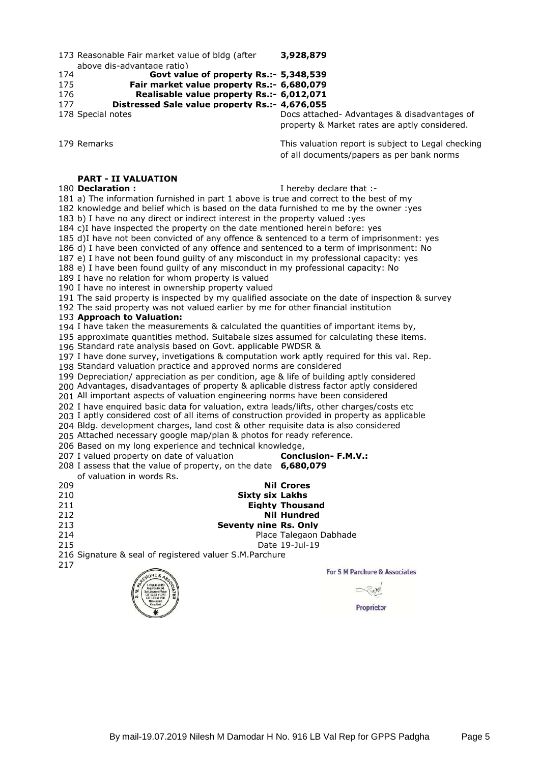Reasonable Fair market value of bldg (after above dis-advantage ratio) **3,928,879**

**Govt value of property Rs.:- 5,348,539**

**Fair market value property Rs.:- 6,680,079**

 **Realisable value property Rs.:- 6,012,071 Distressed Sale value property Rs.:- 4,676,055**

 Special notes Docs attached- Advantages & disadvantages of property & Market rates are aptly considered.

179 Remarks **This valuation report is subject to Legal checking** of all documents/papers as per bank norms

## **PART - II VALUATION**

### **Declaration :** I hereby declare that :-

a) The information furnished in part 1 above is true and correct to the best of my

knowledge and belief which is based on the data furnished to me by the owner :yes

b) I have no any direct or indirect interest in the property valued :yes

c)I have inspected the property on the date mentioned herein before: yes

d)I have not been convicted of any offence & sentenced to a term of imprisonment: yes

 d) I have been convicted of any offence and sentenced to a term of imprisonment: No e) I have not been found guilty of any misconduct in my professional capacity: yes

e) I have been found guilty of any misconduct in my professional capacity: No

I have no relation for whom property is valued

I have no interest in ownership property valued

The said property is inspected by my qualified associate on the date of inspection & survey

The said property was not valued earlier by me for other financial institution

**Approach to Valuation:**

I have taken the measurements & calculated the quantities of important items by,

approximate quantities method. Suitabale sizes assumed for calculating these items.

Standard rate analysis based on Govt. applicable PWDSR &

 I have done survey, invetigations & computation work aptly required for this val. Rep. Standard valuation practice and approved norms are considered

Depreciation/ appreciation as per condition, age & life of building aptly considered

Advantages, disadvantages of property & aplicable distress factor aptly considered

All important aspects of valuation engineering norms have been considered

I have enquired basic data for valuation, extra leads/lifts, other charges/costs etc

I aptly considered cost of all items of construction provided in property as applicable

Bldg. development charges, land cost & other requisite data is also considered

Attached necessary google map/plan & photos for ready reference.

Based on my long experience and technical knowledge,

 I valued property on date of valuation **Conclusion- F.M.V.:** I assess that the value of property, on the date **6,680,079**

of valuation in words Rs. **Nil Crores**

**Sixty six Lakhs**

**Eighty Thousand**

**Nil Hundred**

 **Seventy nine Rs. Only Place Talegaon Dabhade** 

Date 19-Jul-19

Signature & seal of registered valuer S.M.Parchure



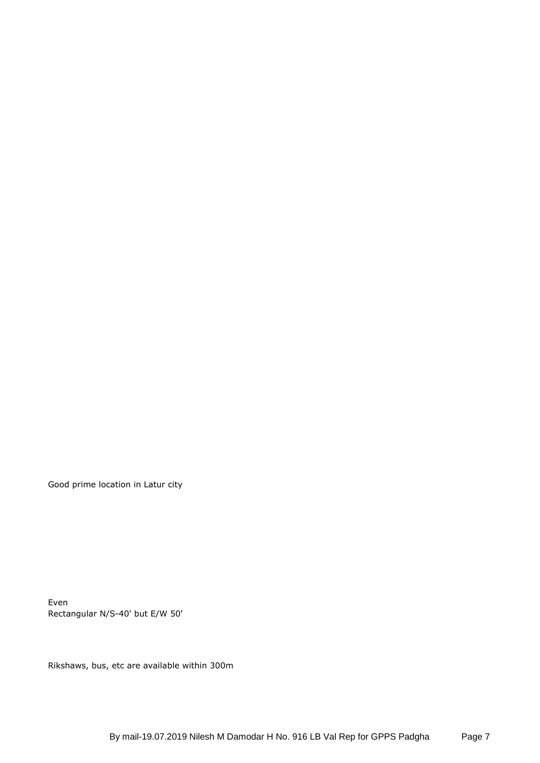Good prime location in Latur city

Even Rectangular N/S-40' but E/W 50'

Rikshaws, bus, etc are available within 300m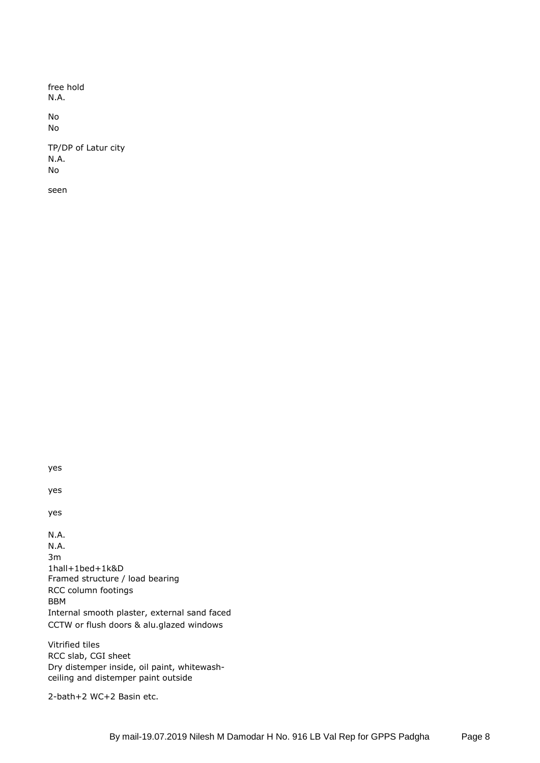free hold N.A.

No No

TP/DP of Latur city N.A. No

seen

yes

yes

yes

N.A. N.A. 3m 1hall+1bed+1k&D Framed structure / load bearing RCC column footings BBM Internal smooth plaster, external sand faced CCTW or flush doors & alu.glazed windows

Vitrified tiles RCC slab, CGI sheet Dry distemper inside, oil paint, whitewashceiling and distemper paint outside

2-bath+2 WC+2 Basin etc.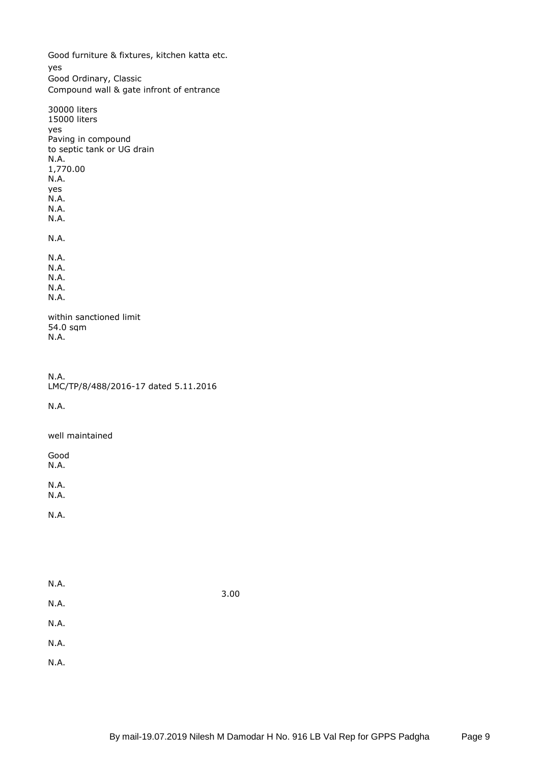Good furniture & fixtures, kitchen katta etc. yes Good Ordinary, Classic Compound wall & gate infront of entrance

30000 liters 15000 liters yes Paving in compound to septic tank or UG drain N.A. 1,770.00 N.A. yes N.A. N.A. N.A. N.A. N.A. N.A. N.A. N.A. N.A. within sanctioned limit 54.0 sqm

N.A.

N.A. LMC/TP/8/488/2016-17 dated 5.11.2016

N.A.

well maintained

Good N.A.

N.A.

N.A.

N.A.

| 3.00 |
|------|
|      |
|      |
|      |
|      |
|      |